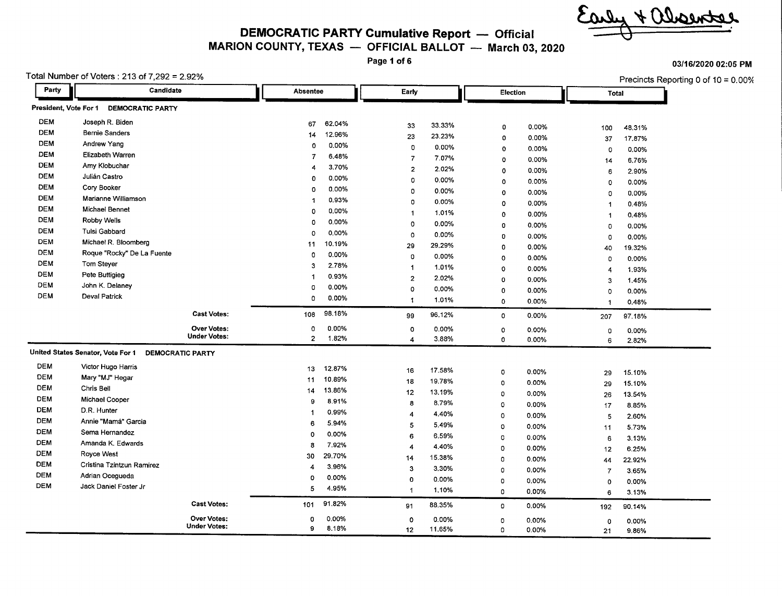$40000$ 

**DEMOCRATIC PARTY Cumulative Report - Official**

#### **MARION COUNTY, TEXAS - OFFICIAL BALLOT - March 03, 2020**

**Page 1 of 6**

| Party                 | Candidate                         |                                   | Absentee       |                 | Early                                  |                 | Election          |                | Total          | Precincts Reporting 0 of 10 = 0.00% |
|-----------------------|-----------------------------------|-----------------------------------|----------------|-----------------|----------------------------------------|-----------------|-------------------|----------------|----------------|-------------------------------------|
| President, Vote For 1 | <b>DEMOCRATIC PARTY</b>           |                                   |                |                 |                                        |                 |                   |                |                |                                     |
| <b>DEM</b>            | Joseph R. Biden                   |                                   | 67             | 62,04%          | 33                                     | 33.33%          |                   |                |                |                                     |
| <b>DEM</b>            | <b>Bernie Sanders</b>             |                                   | 14             | 12.96%          | 23                                     | 23.23%          | $\circ$           | 0.00%          | 100            | 48.31%                              |
| <b>DEM</b>            | Andrew Yang                       |                                   | $\circ$        | 0.00%           |                                        |                 | $\circ$           | 0.00%          | 37             | 17.87%                              |
| <b>DEM</b>            | <b>Elizabeth Warren</b>           |                                   | $\overline{7}$ | 6.48%           | 0                                      | 0.00%<br>7.07%  | $\mathbf 0$       | 0.00%          | $\circ$        | 0.00%                               |
| <b>DEM</b>            | Amy Klobuchar                     |                                   | 4              | 3.70%           | $\overline{7}$                         | 2.02%           | $\circ$           | 0.00%          | 14             | 6.76%                               |
| <b>DEM</b>            | Julián Castro                     |                                   | $\Omega$       | 0.00%           | $\overline{\mathbf{c}}$<br>$\Omega$    |                 | $\mathbf 0$       | 0.00%          | 6              | 2.90%                               |
| <b>DEM</b>            | Cory Booker                       |                                   | 0              | 0.00%           |                                        | 0.00%           | $\mathbf 0$       | 0.00%          | 0              | 0.00%                               |
| <b>DEM</b>            | Marianne Williamson               |                                   | -1             | 0.93%           | $\Omega$                               | 0.00%           | 0                 | 0.00%          | 0              | 0.00%                               |
| <b>DEM</b>            | Michael Bennet                    |                                   | $\Omega$       | $0.00\%$        | o                                      | 0.00%           | $\circ$           | 0.00%          | -1             | 0.48%                               |
| <b>DEM</b>            | <b>Robby Wells</b>                |                                   | $\Omega$       |                 | -1                                     | 1.01%           | 0                 | 0.00%          |                | 0.48%                               |
| DEM                   | Tulsi Gabbard                     |                                   | $\mathbf 0$    | 0.00%<br>0.00%  | $\mathbf 0$                            | 0.00%           | 0                 | $0.00\%$       | $\mathbf 0$    | 0.00%                               |
| <b>DEM</b>            | Michael R. Bloomberg              |                                   |                |                 | 0                                      | 0.00%           | 0                 | 0.00%          | $\mathbf 0$    | 0.00%                               |
| DEM                   | Roque "Rocky" De La Fuente        |                                   | 11             | 10.19%          | 29                                     | 29.29%          | 0                 | 0.00%          | 40             | 19.32%                              |
| <b>DEM</b>            | Tom Steyer                        |                                   | $\mathbf 0$    | 0.00%           | 0                                      | 0.00%           | 0                 | 0.00%          | $\mathbf 0$    | 0.00%                               |
| <b>DEM</b>            | Pete Buttigieg                    |                                   | 3              | 2.78%           | $\mathbf{1}$                           | 1.01%           | 0                 | 0.00%          | $\overline{4}$ | 1.93%                               |
| <b>DEM</b>            | John K. Delaney                   |                                   | -1             | 0.93%           | $\overline{2}$                         | 2.02%           | 0                 | 0.00%          | 3              | 1.45%                               |
| <b>DEM</b>            | <b>Deval Patrick</b>              |                                   | $\circ$        | 0.00%           | $\Omega$                               | 0.00%           | 0                 | 0.00%          | $\Omega$       | 0.00%                               |
|                       |                                   |                                   | $\Omega$       | 0.00%           | 1                                      | 1.01%           | 0                 | 0.00%          | -1             | 0.48%                               |
|                       |                                   | <b>Cast Votes:</b>                | 108            | 98.18%          | 99                                     | 96.12%          | 0                 | 0.00%          | 207            | 97.18%                              |
|                       |                                   | <b>Over Votes:</b>                | $\mathbf 0$    | 0.00%           | 0                                      | 0.00%           | 0                 | 0.00%          | 0              | 0.00%                               |
|                       |                                   | <b>Under Votes:</b>               | $\mathbf{2}$   | 1.82%           | $\overline{4}$                         | 3.88%           | 0                 | 0.00%          | 6              | 2.82%                               |
|                       | United States Senator, Vote For 1 | <b>DEMOCRATIC PARTY</b>           |                |                 |                                        |                 |                   |                |                |                                     |
| <b>DEM</b>            | Victor Hugo Harris                |                                   | 13             | 12.87%          | 16                                     | 17.58%          | 0                 | 0.00%          |                | 15.10%                              |
| <b>DEM</b>            | Mary "MJ" Hegar                   |                                   | 11             | 10.89%          | 18                                     | 19.78%          | 0                 | 0.00%          | 29             | 15.10%                              |
| <b>DEM</b>            | Chris Bell                        |                                   | 14             | 13.86%          | 12                                     | 13.19%          | 0                 | 0.00%          | 29             |                                     |
| DEM                   | Michael Cooper                    |                                   | 9              | 8.91%           | 8                                      | 8.79%           | 0                 | 0.00%          | 26             | 13.54%                              |
| <b>DEM</b>            | D.R. Hunter                       |                                   | $\mathbf{1}$   | 0.99%           | $\boldsymbol{4}$                       | 4.40%           |                   |                | 17             | 8.85%                               |
| <b>DEM</b>            | Annie "Mamá" Garcia               |                                   | 6              | 5.94%           | 5                                      | 5.49%           | 0                 | 0.00%          | 5              | 2.60%                               |
| <b>DEM</b>            | Sema Hernandez                    |                                   | $\Omega$       | 0.00%           | 6                                      | 6.59%           | 0                 | 0.00%          | 11             | 5.73%                               |
| <b>DEM</b>            | Amanda K. Edwards                 |                                   | 8              | 7.92%           | $\overline{4}$                         | 4.40%           | 0                 | 0.00%          | 6              | 3.13%                               |
| <b>DEM</b>            | Royce West                        |                                   | 30             | 29.70%          | 14                                     | 15.38%          | 0                 | 0.00%          | 12             | 6.25%                               |
| <b>DEM</b>            | Cristina Tzintzun Ramirez         |                                   | 4              | 3.96%           | $\overline{\mathbf{3}}$                | 3.30%           | 0                 | 0.00%          | 44             | 22.92%                              |
| <b>DEM</b>            | Adrian Ocegueda                   |                                   | 0              | 0.00%           |                                        |                 | 0                 | 0.00%          | $\overline{7}$ | 3.65%                               |
| <b>DEM</b>            | Jack Daniel Foster Jr             |                                   | 5              | 4.95%           | $\mathbf 0$<br>$\overline{\mathbf{1}}$ | 0.00%<br>1.10%  | $\mathbf{O}$<br>0 | 0.00%<br>0.00% | $\Omega$       | 0.00%                               |
|                       |                                   |                                   |                |                 |                                        |                 |                   |                | 6              | 3.13%                               |
|                       |                                   |                                   |                |                 |                                        |                 |                   |                |                |                                     |
|                       |                                   | <b>Cast Votes:</b><br>Over Votes: | 101<br>o       | 91.82%<br>0.00% | 91<br>$\circ$                          | 88.35%<br>0.00% | 0<br>0            | 0.00%<br>0.00% | 192<br>0       | 90.14%<br>0.00%                     |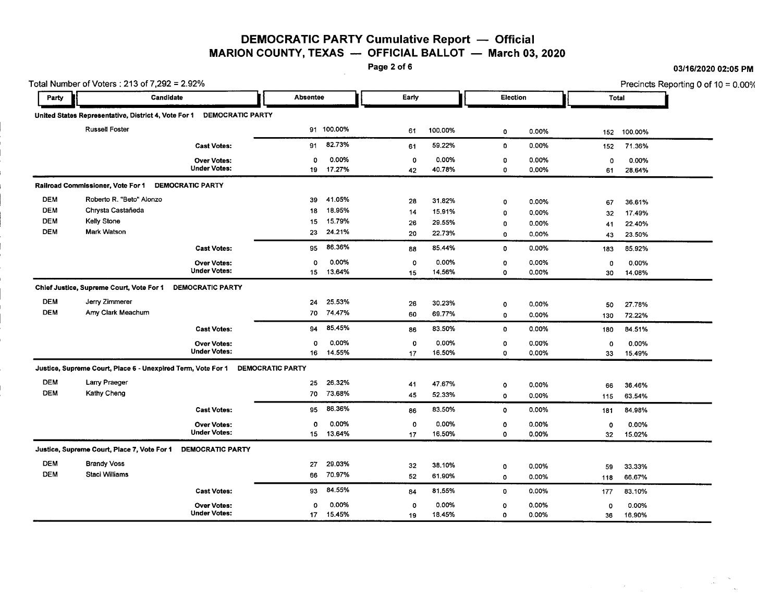DEMOCRATIC PARTY Cumulative Report - Official MARION COUNTY, TEXAS  $-$  OFFICIAL BALLOT  $-$  March 03, 2020<br>Page 2 of 6

|            | Total Number of Voters: 213 of 7,292 = 2.92%                                  |                                           |          |                    |             |                 |              |                |           | Precincts Reporting 0 of 10 = 0.00% |  |
|------------|-------------------------------------------------------------------------------|-------------------------------------------|----------|--------------------|-------------|-----------------|--------------|----------------|-----------|-------------------------------------|--|
| Party      | Candidate                                                                     |                                           | Absentee |                    | Early       |                 |              | Election       |           | <b>Total</b>                        |  |
|            | United States Representative, District 4, Vote For 1 DEMOCRATIC PARTY         |                                           |          |                    |             |                 |              |                |           |                                     |  |
|            | <b>Russell Foster</b>                                                         |                                           |          | 91 100.00%         | 61          | 100.00%         | $\mathbf 0$  | 0.00%          | 152       | 100.00%                             |  |
|            |                                                                               | <b>Cast Votes:</b>                        | 91       | 82.73%             | 61          | 59.22%          | 0            | 0.00%          | 152       | 71.36%                              |  |
|            |                                                                               | <b>Over Votes:</b><br><b>Under Votes:</b> | ٥        | 0.00%<br>19 17.27% | 0<br>42     | 0.00%<br>40.78% | 0<br>0       | 0.00%<br>0.00% | 0<br>61   | 0.00%                               |  |
|            | Railroad Commissioner, Vote For 1                                             | <b>DEMOCRATIC PARTY</b>                   |          |                    |             |                 |              |                |           | 28.64%                              |  |
| <b>DEM</b> | Roberto R. "Beto" Alonzo                                                      |                                           | 39       | 41.05%             | 28          | 31.82%          | 0            | 0.00%          |           |                                     |  |
| <b>DEM</b> | Chrysta Castañeda                                                             |                                           | 18       | 18.95%             |             | 15.91%          |              |                | 67        | 36.61%                              |  |
| <b>DEM</b> | <b>Kelly Stone</b>                                                            |                                           | 15       | 15.79%             | 14          |                 | 0            | 0.00%          | 32        | 17.49%                              |  |
| <b>DEM</b> | <b>Mark Watson</b>                                                            |                                           |          |                    | 26          | 29.55%          | 0            | 0.00%          | 41        | 22.40%                              |  |
|            |                                                                               |                                           | 23       | 24.21%             | 20          | 22.73%          | 0            | 0.00%          | 43        | 23.50%                              |  |
|            |                                                                               | <b>Cast Votes:</b>                        | 95       | 86.36%             | 88          | 85.44%          | $\mathbf 0$  | 0.00%          | 183       | 85.92%                              |  |
|            |                                                                               | <b>Over Votes:</b>                        | 0        | 0.00%              | 0           | 0.00%           | $\mathbf 0$  | 0.00%          | 0         | 0.00%                               |  |
|            |                                                                               | <b>Under Votes:</b>                       | 15       | 13.64%             | 15          | 14.56%          | 0            | 0.00%          | 30        | 14.08%                              |  |
|            | Chief Justice, Supreme Court, Vote For 1                                      | DEMOCRATIC PARTY                          |          |                    |             |                 |              |                |           |                                     |  |
| <b>DEM</b> | Jerry Zimmerer                                                                |                                           | 24       | 25.53%             | 26          | 30.23%          | $\Omega$     | 0.00%          | 50        | 27.78%                              |  |
| <b>DEM</b> | Amy Clark Meachum                                                             |                                           | 70       | 74.47%             | 60          | 69.77%          | 0            | 0.00%          | 130       | 72.22%                              |  |
|            |                                                                               | <b>Cast Votes:</b>                        | 94       | 85.45%             | 86          | 83.50%          | 0            | 0.00%          | 180       | 84.51%                              |  |
|            |                                                                               | <b>Over Votes:</b>                        | 0        | 0.00%              | $\mathbf 0$ | 0.00%           | $\circ$      | 0.00%          | 0         | 0.00%                               |  |
|            |                                                                               | <b>Under Votes:</b>                       | 16       | 14.55%             | 17          | 16.50%          | 0            | 0.00%          | 33        | 15.49%                              |  |
|            | Justice, Supreme Court, Place 6 - Unexpired Term, Vote For 1 DEMOCRATIC PARTY |                                           |          |                    |             |                 |              |                |           |                                     |  |
| <b>DEM</b> | Larry Praeger                                                                 |                                           | 25       | 26.32%             | 41          | 47.67%          | 0            | 0.00%          | 66        | 36.46%                              |  |
| <b>DEM</b> | Kathy Cheng                                                                   |                                           | 70       | 73.68%             | 45          | 52.33%          | 0            | 0.00%          | 115       | 63.54%                              |  |
|            |                                                                               | <b>Cast Votes:</b>                        | 95       | 86.36%             | 86          | 83.50%          | $\mathbf{o}$ | 0.00%          | 181       | 84.98%                              |  |
|            |                                                                               | <b>Over Votes:</b>                        | 0        | 0.00%              | 0           | 0.00%           | 0            | 0.00%          | 0         | 0.00%                               |  |
|            |                                                                               | <b>Under Votes:</b>                       | 15       | 13.64%             | 17          | 16.50%          | 0            | 0.00%          | 32        | 15.02%                              |  |
|            | Justice, Supreme Court, Place 7, Vote For 1                                   | <b>DEMOCRATIC PARTY</b>                   |          |                    |             |                 |              |                |           |                                     |  |
| <b>DEM</b> | <b>Brandy Voss</b>                                                            |                                           | 27       | 29.03%             | 32          | 38.10%          |              | 0.00%          |           |                                     |  |
| <b>DEM</b> | Staci Williams                                                                |                                           | 66       | 70.97%             | 52          | 61.90%          | 0<br>0       | 0.00%          | 59<br>118 | 33.33%<br>66.67%                    |  |
|            |                                                                               | <b>Cast Votes:</b>                        | 93       | 84.55%             | 84          | 81.55%          | 0            | 0.00%          | 177       | 83.10%                              |  |
|            |                                                                               | <b>Over Votes:</b>                        | 0        | 0.00%              | 0           | 0.00%           | $\circ$      | 0.00%          | $\circ$   | 0.00%                               |  |
|            |                                                                               | <b>Under Votes:</b>                       | 17       | 15.45%             | 19          | 18.45%          | $\mathbf 0$  | 0.00%          | 36        | 16.90%                              |  |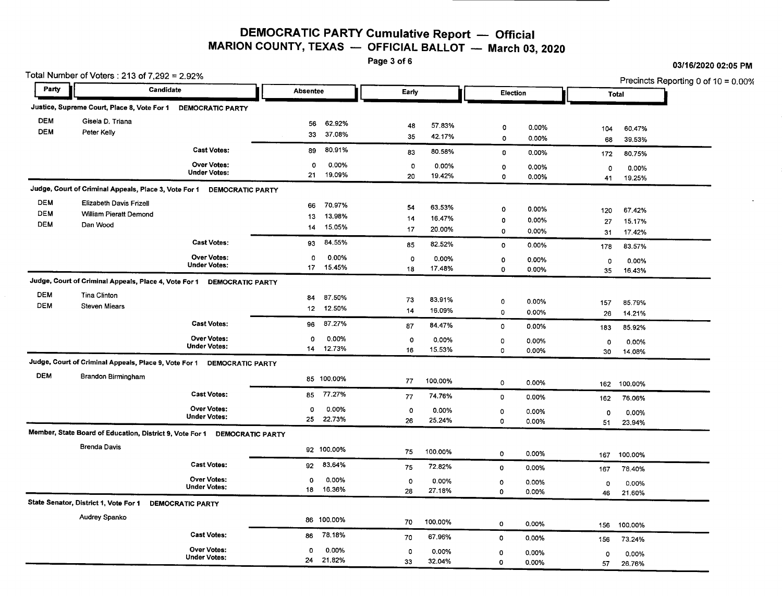## DEMOCRATIC PARTY Cumulative Report - Official MARION COUNTY, TEXAS  $-$  OFFICIAL BALLOT  $-$  March 03, 2020<br>Page 3 of 6

|            | Total Number of Voters : 213 of 7,292 = 2.92%<br>Party<br>Candidate       |                         |                 |             |         | Election     |       |               | Precincts Reporting 0 of 10 = 0.00% |
|------------|---------------------------------------------------------------------------|-------------------------|-----------------|-------------|---------|--------------|-------|---------------|-------------------------------------|
|            |                                                                           |                         | <b>Absentee</b> | Early       |         |              |       |               | <b>Total</b>                        |
|            | Justice, Supreme Court, Place 8, Vote For 1                               | <b>DEMOCRATIC PARTY</b> |                 |             |         |              |       |               |                                     |
| <b>DEM</b> | Gisela D. Triana                                                          |                         | 62.92%<br>56    |             |         |              |       |               |                                     |
| <b>DEM</b> | Peter Kelly                                                               |                         | 37.08%<br>33    | 48          | 57.83%  | o            | 0.00% | 104           | 60.47%                              |
|            |                                                                           |                         |                 | 35          | 42.17%  | $\circ$      | 0.00% | 68            | 39.53%                              |
|            |                                                                           | <b>Cast Votes:</b>      | 80.91%<br>89    | 83          | 80.58%  | 0            | 0.00% | 172           | 80.75%                              |
|            |                                                                           | <b>Over Votes:</b>      | 0<br>0.00%      | $\circ$     | 0.00%   | 0            | 0.00% | $\Omega$      | 0.00%                               |
|            |                                                                           | <b>Under Votes:</b>     | 21<br>19,09%    | 20          | 19.42%  | 0            | 0.00% | 41            | 19.25%                              |
|            | Judge, Court of Criminal Appeals, Place 3, Vote For 1                     | <b>DEMOCRATIC PARTY</b> |                 |             |         |              |       |               |                                     |
| <b>DEM</b> | Elizabeth Davis Frizell                                                   |                         | 70.97%<br>66    | 54          | 63.53%  |              |       |               |                                     |
| <b>DEM</b> | William Pieratt Demond                                                    |                         | 13,98%<br>13    |             |         | 0            | 0.00% | 120           | 67.42%                              |
| <b>DEM</b> | Dan Wood                                                                  |                         | 15.05%<br>14    | 14<br>17    | 16.47%  | 0            | 0.00% | 27            | 15.17%                              |
|            |                                                                           |                         |                 |             | 20.00%  | 0            | 0.00% | 31            | 17.42%                              |
|            |                                                                           | <b>Cast Votes:</b>      | 84.55%<br>93    | 85          | 82.52%  | 0            | 0.00% | 178           | 83.57%                              |
|            |                                                                           | <b>Over Votes:</b>      | 0.00%<br>0      | $\circ$     | 0.00%   | 0            | 0.00% | $\mathbf 0$   | 0.00%                               |
|            |                                                                           | <b>Under Votes:</b>     | 17 15.45%       | 18          | 17.48%  | 0            | 0.00% | 35            | 16.43%                              |
|            | Judge, Court of Criminal Appeals, Place 4, Vote For 1                     | <b>DEMOCRATIC PARTY</b> |                 |             |         |              |       |               |                                     |
| <b>DEM</b> | <b>Tina Clinton</b>                                                       |                         | 87.50%<br>84    |             |         |              |       |               |                                     |
| <b>DEM</b> | <b>Steven Miears</b>                                                      |                         | 12.50%          | 73          | 83.91%  | 0            | 0.00% | 157           | 85.79%                              |
|            |                                                                           |                         | 12 <sub>2</sub> | 14          | 16.09%  | $\mathbf{0}$ | 0.00% | 26            | 14.21%                              |
|            |                                                                           | <b>Cast Votes:</b>      | 87.27%<br>96    | 87          | 84.47%  | $\mathbf 0$  | 0.00% | 183           | 85.92%                              |
|            |                                                                           | <b>Over Votes:</b>      | 0.00%<br>0      | $\circ$     | 0.00%   | $\mathbf 0$  | 0.00% | 0             | 0.00%                               |
|            |                                                                           | <b>Under Votes:</b>     | 12.73%<br>14    | 16          | 15.53%  | 0            | 0.00% | 30            | 14.08%                              |
|            | Judge, Court of Criminal Appeals, Place 9, Vote For 1                     | <b>DEMOCRATIC PARTY</b> |                 |             |         |              |       |               |                                     |
| <b>DEM</b> | Brandon Birmingham                                                        |                         |                 |             |         |              |       |               |                                     |
|            |                                                                           |                         | 85 100.00%      | 77          | 100.00% | 0            | 0.00% | 162           | 100.00%                             |
|            |                                                                           | <b>Cast Votes:</b>      | 77.27%<br>85    | 77          | 74.76%  | 0            | 0.00% | 162           | 76.06%                              |
|            |                                                                           | Over Votes:             | 0.00%<br>0      | 0           | 0.00%   | $\circ$      | 0.00% | $\circ$       | 0.00%                               |
|            |                                                                           | <b>Under Votes:</b>     | 22.73%<br>25    | 26          | 25.24%  | 0            | 0.00% | 51            | 23.94%                              |
|            | Member, State Board of Education, District 9, Vote For 1 DEMOCRATIC PARTY |                         |                 |             |         |              |       |               |                                     |
|            | <b>Brenda Davis</b>                                                       |                         |                 |             |         |              |       |               |                                     |
|            |                                                                           |                         | 92 100,00%      | 75          | 100.00% | $\mathbf 0$  | 0.00% | 167           | 100.00%                             |
|            |                                                                           | <b>Cast Votes:</b>      | 83.64%<br>92    | 75          | 72.82%  | 0            | 0.00% | 167           | 78.40%                              |
|            |                                                                           | <b>Over Votes:</b>      | 0.00%<br>0      | $\mathbf 0$ | 0.00%   | $\circ$      | 0.00% |               | 0.00%                               |
|            |                                                                           | <b>Under Votes:</b>     | 16.36%<br>18    | 28          | 27.18%  | 0            | 0.00% | 0<br>46       | 21.60%                              |
|            | State Senator, District 1, Vote For 1                                     | <b>DEMOCRATIC PARTY</b> |                 |             |         |              |       |               |                                     |
|            | Audrey Spanko                                                             |                         |                 |             |         |              |       |               |                                     |
|            |                                                                           |                         | 86 100.00%      | 70          | 100.00% | 0            | 0.00% | 156           | 100,00%                             |
|            |                                                                           | <b>Cast Votes:</b>      | 78.18%<br>86    | 70          | 67.96%  | $\circ$      | 0.00% | 156           | 73.24%                              |
|            |                                                                           | <b>Over Votes:</b>      | 0.00%<br>0      | 0           | 0.00%   | 0            | 0.00% |               |                                     |
|            |                                                                           | <b>Under Votes:</b>     | 24<br>21.82%    | 33          | 32.04%  | 0            | 0.00% | $\circ$<br>57 | 0.00%<br>26.76%                     |
|            |                                                                           |                         |                 |             |         |              |       |               |                                     |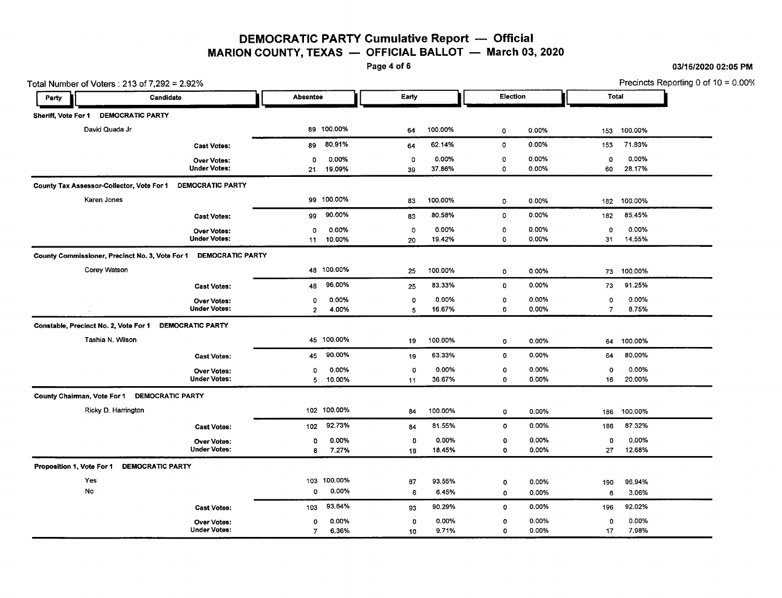### DEMOCRATIC PARTY Cumulative Report - Official MARION COUNTY, TEXAS  $-$  OFFICIAL BALLOT  $-$  March 03, 2020<br>Page 4 of 6

Total Number of Voters : 213 of 7,292 = 2.92% **Precincts Reporting 0 of 10** = 0.00% I Party **Party Party Candidate Candidate Reserves and Absentee Candidate Party Election Total Property Total Property**<br>Property Candidate Candidate Candidate Candidate Candidate Candidate Candidate Candidate Candidate Candid **•** Sheriff, Vote For 1 DEMOCRATIC PARTY David Quada Jr 89 100.00% 64 100.00% 0 0.00% 153 100.00% Cast Votes: 89 80.91% 64 62.14% 0 0.00% 153 71.83% Over Votes: 0 0.00% 0 0.00% 0 0.00% 0 0.00% Under Votes: 21 19.09% 39 37.86% 0 0.00% 60 28.17% County Tax Assessor-Collector, Vote For 1 DEMOCRATIC PARTY Karen Jones 99 100.00% 83 100.00% 0 0.00% 182 100.00% Cast Votes: 99 90.00% 83 80.58% 0 0.00% 182 85.45% Over Votes: 0 0.00% 0 0.00% 0 0.00% 0 0.00% Under Votes: 11 10.00% 20 19.42% 0 0.00% 31 14.55% County Commissioner, Precinct No. 3, Vote For 1 DEMOCRATIC PARTY Corey Watson 48 100.00% 25 100.00% 0 0.00% 73 100.00% Cast Votes: 48 96.00% 25 83.33% 0 0.00% 73 91.25% Over Votes: 0 0.00% 0 0.00% 0 0.00% 0 0.00% Under Votes: 2 4.00% 5 16.67% 0 0.00% 7 8.75% Constable, Precinct No. 2, Vote For 1 DEMOCRATIC PARTY Tashia N. Wilson 45 100.00% 19 100.00% 0 0.00% 64 100.00% Cast Votes: 45 90.00% 19 63.33% 0 0.00% 64 80.00% Over Votes: 0 0.00% 0 0.00% 0 0.00% 0 0.00% Under Votes: 5 10.00% 11 36.67% 0 0.00% 16 20.00% County Chairman, Vote For 1 DEMOCRATIC PARTY Ricky D. Harrington 102 100.00% 102 100.00% 84 100.00% 0 0.00% 186 100.00% Cast Votes: 102 92.73% 84 81.55% 0 0.00% 186 87.32% Over Votes: 0 0.00% 0 0.00% 0 0.00% 0 0.00% Under Votes: 8 7.27% 19 18.45% 0 0.00% 27 12.68% Proposition 1, Vote For 1 DEMOCRATIC PARTY Yes 103 100.00% 87 93.55% 0 0.00% 190 96.94% No 0 0.00% 6 6.45% 0 0.00% 6 3.06% **Cast Votes:** 103 93.64% 93 90.29% 0 0.00% 196 92.02% Over Votes: 0 0.00% 0 0.00% 0 0.00% 0 0.00% Under Votes: 7 6.36% 10 9.71% 0 0.00% 17 7.98%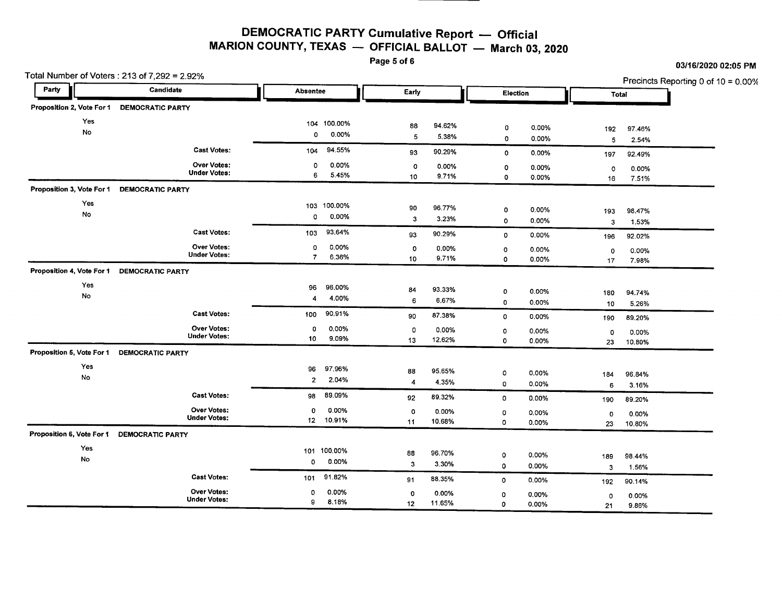# **DEMOCRA TIC PARTY Cumulative Report** - **Official MARION COUNTY, TEXAS** - **OFFICIAL BALLOT** - **March** 03, **<sup>2020</sup>**

Page 5 of 6

| Party<br>Candidate                         |                                           | <b>Absentee</b>     |                | Early             |        | Election    |                |                         | Precincts Reporting 0 of 10 = 0.00% |
|--------------------------------------------|-------------------------------------------|---------------------|----------------|-------------------|--------|-------------|----------------|-------------------------|-------------------------------------|
|                                            |                                           |                     |                |                   |        |             |                | Total                   |                                     |
| Proposition 2, Vote For 1                  | <b>DEMOCRATIC PARTY</b>                   |                     |                |                   |        |             |                |                         |                                     |
| Yes                                        |                                           |                     | 104 100.00%    | 88                | 94.62% | 0           | 0.00%          | 192                     | 97.46%                              |
| No                                         |                                           | 0                   | 0.00%          | 5                 | 5.38%  | 0           | 0.00%          | 5                       | 2.54%                               |
|                                            | <b>Cast Votes:</b>                        | 104                 | 94.55%         | 93                | 90.29% | 0           | $0.00\%$       | 197                     | 92.49%                              |
|                                            | <b>Over Votes:</b>                        | 0                   | 0.00%          | $\circ$           | 0.00%  | ٥           | 0.00%          |                         |                                     |
|                                            | <b>Under Votes:</b>                       | 6                   | 5.45%          | 10                | 9.71%  | 0           | 0.00%          | 0<br>16                 | 0.00%<br>7.51%                      |
| Proposition 3, Vote For 1                  | <b>DEMOCRATIC PARTY</b>                   |                     |                |                   |        |             |                |                         |                                     |
| Yes                                        |                                           | 103                 | 100.00%        | 90                | 96.77% |             |                |                         |                                     |
| No                                         |                                           | 0                   | 0.00%          | 3                 | 3.23%  | 0<br>0      | 0.00%<br>0.00% | 193                     | 98.47%                              |
|                                            | <b>Cast Votes:</b>                        | 103                 | 93.64%         |                   |        |             |                | 3                       | 1.53%                               |
|                                            |                                           |                     |                | 93                | 90.29% | 0           | 0.00%          | 196                     | 92.02%                              |
|                                            | <b>Over Votes:</b><br><b>Under Votes:</b> | 0<br>$\overline{7}$ | 0.00%<br>6.36% | o                 | 0.00%  | 0           | 0.00%          | 0                       | 0.00%                               |
|                                            |                                           |                     |                | 10                | 9.71%  | $\mathbf 0$ | 0.00%          | 17                      | 7.98%                               |
| Proposition 4, Vote For 1                  | <b>DEMOCRATIC PARTY</b>                   |                     |                |                   |        |             |                |                         |                                     |
| Yes                                        |                                           | 96                  | 96.00%         | 84                | 93.33% | 0           | 0.00%          | 180                     | 94.74%                              |
| No                                         |                                           | $\overline{4}$      | 4.00%          | 6                 | 6.67%  | 0           | 0.00%          | 10                      | 5.26%                               |
|                                            | <b>Cast Votes:</b>                        | 100                 | 90.91%         | 90                | 87.38% | 0           | 0.00%          | 190                     | 89.20%                              |
|                                            | Over Votes:                               | 0                   | 0.00%          | $\circ$           | 0.00%  | 0           | 0.00%          | $\circ$                 | 0.00%                               |
|                                            | <b>Under Votes:</b>                       | 10                  | 9.09%          | 13                | 12.62% | 0           | 0.00%          | 23                      | 10.80%                              |
| Proposition 5, Vote For 1 DEMOCRATIC PARTY |                                           |                     |                |                   |        |             |                |                         |                                     |
| Yes                                        |                                           | 96                  | 97.96%         | 88                | 95.65% | ٥           | 0.00%          | 184                     | 96.84%                              |
| No                                         |                                           | $\overline{2}$      | 2.04%          | $\overline{4}$    | 4.35%  | 0           | 0.00%          | 6                       | 3.16%                               |
|                                            | <b>Cast Votes:</b>                        | 98                  | 89.09%         | 92                | 89.32% | 0           | 0.00%          | 190                     | 89.20%                              |
|                                            | Over Votes:                               | 0                   | 0.00%          | 0                 | 0.00%  | 0           | 0.00%          | $\circ$                 | 0.00%                               |
|                                            | <b>Under Votes:</b>                       |                     | 12 10.91%      | 11                | 10.68% | 0           | 0.00%          | 23                      | 10.80%                              |
| Proposition 6, Vote For 1                  | <b>DEMOCRATIC PARTY</b>                   |                     |                |                   |        |             |                |                         |                                     |
| Yes                                        |                                           | 101                 | 100.00%        | 88                | 96.70% |             |                |                         |                                     |
| No                                         |                                           | 0                   | 0.00%          | $\mathbf{3}$      | 3.30%  | 0<br>0      | 0.00%<br>0.00% | 189                     | 98.44%                              |
|                                            | <b>Cast Votes:</b>                        | 101                 | 91.82%         |                   | 88.35% |             |                | $\overline{\mathbf{3}}$ | 1.56%                               |
|                                            | <b>Over Votes:</b>                        | 0                   | 0.00%          | 91<br>$\mathbf 0$ | 0.00%  | $\circ$     | 0.00%          | 192                     | 90.14%                              |
|                                            |                                           |                     |                |                   |        | o           | 0.00%          |                         | 0.00%                               |